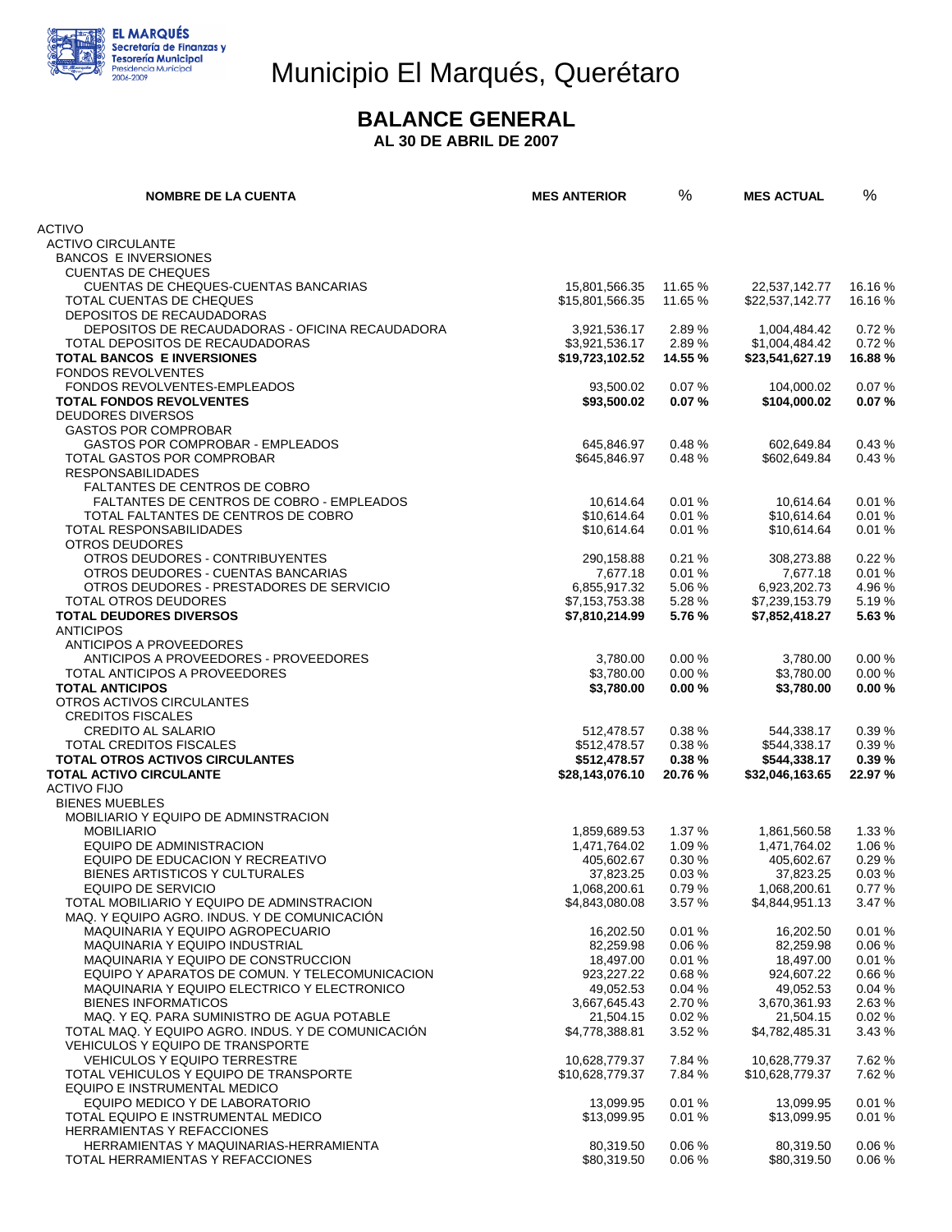

# Municipio El Marqués, Querétaro

### **BALANCE GENERAL**

 **AL 30 DE ABRIL DE 2007** 

| <b>NOMBRE DE LA CUENTA</b>                                                              | <b>MES ANTERIOR</b>               | %                | <b>MES ACTUAL</b>                 | $\%$            |
|-----------------------------------------------------------------------------------------|-----------------------------------|------------------|-----------------------------------|-----------------|
| <b>ACTIVO</b>                                                                           |                                   |                  |                                   |                 |
| <b>ACTIVO CIRCULANTE</b>                                                                |                                   |                  |                                   |                 |
| <b>BANCOS E INVERSIONES</b>                                                             |                                   |                  |                                   |                 |
| <b>CUENTAS DE CHEQUES</b>                                                               |                                   |                  |                                   |                 |
| <b>CUENTAS DE CHEQUES-CUENTAS BANCARIAS</b>                                             | 15,801,566.35                     | 11.65 %          | 22,537,142.77                     | 16.16 %         |
| TOTAL CUENTAS DE CHEQUES                                                                | \$15,801,566.35                   | 11.65 %          | \$22,537,142.77                   | 16.16 %         |
| DEPOSITOS DE RECAUDADORAS                                                               |                                   |                  |                                   |                 |
| DEPOSITOS DE RECAUDADORAS - OFICINA RECAUDADORA                                         | 3,921,536.17                      | 2.89%            | 1,004,484.42                      | 0.72%           |
| TOTAL DEPOSITOS DE RECAUDADORAS<br><b>TOTAL BANCOS E INVERSIONES</b>                    | \$3,921,536.17<br>\$19,723,102.52 | 2.89%<br>14.55 % | \$1,004,484.42<br>\$23,541,627.19 | 0.72%<br>16.88% |
| <b>FONDOS REVOLVENTES</b>                                                               |                                   |                  |                                   |                 |
| FONDOS REVOLVENTES-EMPLEADOS                                                            | 93,500.02                         | 0.07%            | 104,000.02                        | 0.07%           |
| <b>TOTAL FONDOS REVOLVENTES</b>                                                         | \$93,500.02                       | 0.07%            | \$104,000.02                      | 0.07%           |
| <b>DEUDORES DIVERSOS</b>                                                                |                                   |                  |                                   |                 |
| <b>GASTOS POR COMPROBAR</b>                                                             |                                   |                  |                                   |                 |
| GASTOS POR COMPROBAR - EMPLEADOS                                                        | 645,846.97                        | 0.48%            | 602,649.84                        | 0.43%           |
| TOTAL GASTOS POR COMPROBAR                                                              | \$645,846.97                      | 0.48%            | \$602,649.84                      | 0.43%           |
| <b>RESPONSABILIDADES</b>                                                                |                                   |                  |                                   |                 |
| <b>FALTANTES DE CENTROS DE COBRO</b><br>FALTANTES DE CENTROS DE COBRO - EMPLEADOS       | 10.614.64                         | 0.01%            | 10,614.64                         | 0.01%           |
| TOTAL FALTANTES DE CENTROS DE COBRO                                                     | \$10,614.64                       | 0.01%            | \$10.614.64                       | 0.01%           |
| TOTAL RESPONSABILIDADES                                                                 | \$10,614.64                       | 0.01%            | \$10,614.64                       | 0.01%           |
| OTROS DEUDORES                                                                          |                                   |                  |                                   |                 |
| OTROS DEUDORES - CONTRIBUYENTES                                                         | 290,158.88                        | 0.21%            | 308,273.88                        | 0.22%           |
| OTROS DEUDORES - CUENTAS BANCARIAS                                                      | 7,677.18                          | 0.01%            | 7,677.18                          | 0.01%           |
| OTROS DEUDORES - PRESTADORES DE SERVICIO                                                | 6,855,917.32                      | 5.06 %           | 6,923,202.73                      | 4.96 %          |
| TOTAL OTROS DEUDORES                                                                    | \$7,153,753.38                    | 5.28 %           | \$7,239,153.79                    | 5.19%           |
| <b>TOTAL DEUDORES DIVERSOS</b>                                                          | \$7,810,214.99                    | 5.76 %           | \$7,852,418.27                    | 5.63%           |
| <b>ANTICIPOS</b>                                                                        |                                   |                  |                                   |                 |
| ANTICIPOS A PROVEEDORES<br>ANTICIPOS A PROVEEDORES - PROVEEDORES                        | 3,780.00                          | 0.00%            | 3,780.00                          | 0.00%           |
| TOTAL ANTICIPOS A PROVEEDORES                                                           | \$3,780.00                        | 0.00%            | \$3,780.00                        | 0.00%           |
| <b>TOTAL ANTICIPOS</b>                                                                  | \$3,780.00                        | 0.00%            | \$3,780.00                        | 0.00%           |
| OTROS ACTIVOS CIRCULANTES                                                               |                                   |                  |                                   |                 |
| <b>CREDITOS FISCALES</b>                                                                |                                   |                  |                                   |                 |
| <b>CREDITO AL SALARIO</b>                                                               | 512,478.57                        | 0.38%            | 544,338.17                        | 0.39%           |
| TOTAL CREDITOS FISCALES                                                                 | \$512,478.57                      | 0.38%            | \$544,338.17                      | 0.39%           |
| <b>TOTAL OTROS ACTIVOS CIRCULANTES</b>                                                  | \$512,478.57                      | 0.38%            | \$544,338.17                      | 0.39%           |
| <b>TOTAL ACTIVO CIRCULANTE</b>                                                          | \$28,143,076.10                   | 20.76 %          | \$32,046,163.65                   | 22.97 %         |
| <b>ACTIVO FIJO</b><br><b>BIENES MUEBLES</b>                                             |                                   |                  |                                   |                 |
| MOBILIARIO Y EQUIPO DE ADMINSTRACION                                                    |                                   |                  |                                   |                 |
| <b>MOBILIARIO</b>                                                                       | 1,859,689.53                      | 1.37 %           | 1,861,560.58                      | 1.33 %          |
| EQUIPO DE ADMINISTRACION                                                                | 1,471,764.02                      | 1.09%            | 1,471,764.02                      | 1.06 %          |
| EQUIPO DE EDUCACION Y RECREATIVO                                                        | 405,602.67                        | 0.30%            | 405,602.67                        | 0.29%           |
| BIENES ARTISTICOS Y CULTURALES                                                          | 37,823.25                         | 0.03%            | 37,823.25                         | 0.03%           |
| EQUIPO DE SERVICIO                                                                      | 1,068,200.61                      | 0.79%            | 1,068,200.61                      | 0.77%           |
| TOTAL MOBILIARIO Y EQUIPO DE ADMINSTRACION                                              | \$4,843,080.08                    | 3.57 %           | \$4,844,951.13                    | 3.47 %          |
| MAQ. Y EQUIPO AGRO. INDUS. Y DE COMUNICACIÓN<br><b>MAQUINARIA Y EQUIPO AGROPECUARIO</b> | 16,202.50                         | 0.01%            | 16,202.50                         | 0.01%           |
| <b>MAQUINARIA Y EQUIPO INDUSTRIAL</b>                                                   | 82,259.98                         | 0.06%            | 82,259.98                         | 0.06%           |
| MAQUINARIA Y EQUIPO DE CONSTRUCCION                                                     | 18,497.00                         | 0.01%            | 18,497.00                         | 0.01%           |
| EQUIPO Y APARATOS DE COMUN. Y TELECOMUNICACION                                          | 923,227.22                        | 0.68%            | 924,607.22                        | 0.66%           |
| MAQUINARIA Y EQUIPO ELECTRICO Y ELECTRONICO                                             | 49,052.53                         | 0.04%            | 49,052.53                         | 0.04%           |
| <b>BIENES INFORMATICOS</b>                                                              | 3,667,645.43                      | 2.70 %           | 3,670,361.93                      | 2.63%           |
| MAQ. Y EQ. PARA SUMINISTRO DE AGUA POTABLE                                              | 21,504.15                         | 0.02%            | 21,504.15                         | 0.02%           |
| TOTAL MAQ. Y EQUIPO AGRO. INDUS. Y DE COMUNICACIÓN                                      | \$4,778,388.81                    | 3.52 %           | \$4,782,485.31                    | 3.43%           |
| VEHICULOS Y EQUIPO DE TRANSPORTE                                                        |                                   |                  |                                   |                 |
| <b>VEHICULOS Y EQUIPO TERRESTRE</b><br>TOTAL VEHICULOS Y EQUIPO DE TRANSPORTE           | 10,628,779.37<br>\$10,628,779.37  | 7.84 %<br>7.84 % | 10,628,779.37<br>\$10,628,779.37  | 7.62%<br>7.62%  |
| EQUIPO E INSTRUMENTAL MEDICO                                                            |                                   |                  |                                   |                 |
| EQUIPO MEDICO Y DE LABORATORIO                                                          | 13,099.95                         | 0.01%            | 13,099.95                         | 0.01%           |
| TOTAL EQUIPO E INSTRUMENTAL MEDICO                                                      | \$13,099.95                       | 0.01%            | \$13,099.95                       | 0.01%           |
| HERRAMIENTAS Y REFACCIONES                                                              |                                   |                  |                                   |                 |
| HERRAMIENTAS Y MAQUINARIAS-HERRAMIENTA                                                  | 80,319.50                         | 0.06%            | 80,319.50                         | 0.06%           |
| TOTAL HERRAMIENTAS Y REFACCIONES                                                        | \$80,319.50                       | 0.06%            | \$80,319.50                       | 0.06%           |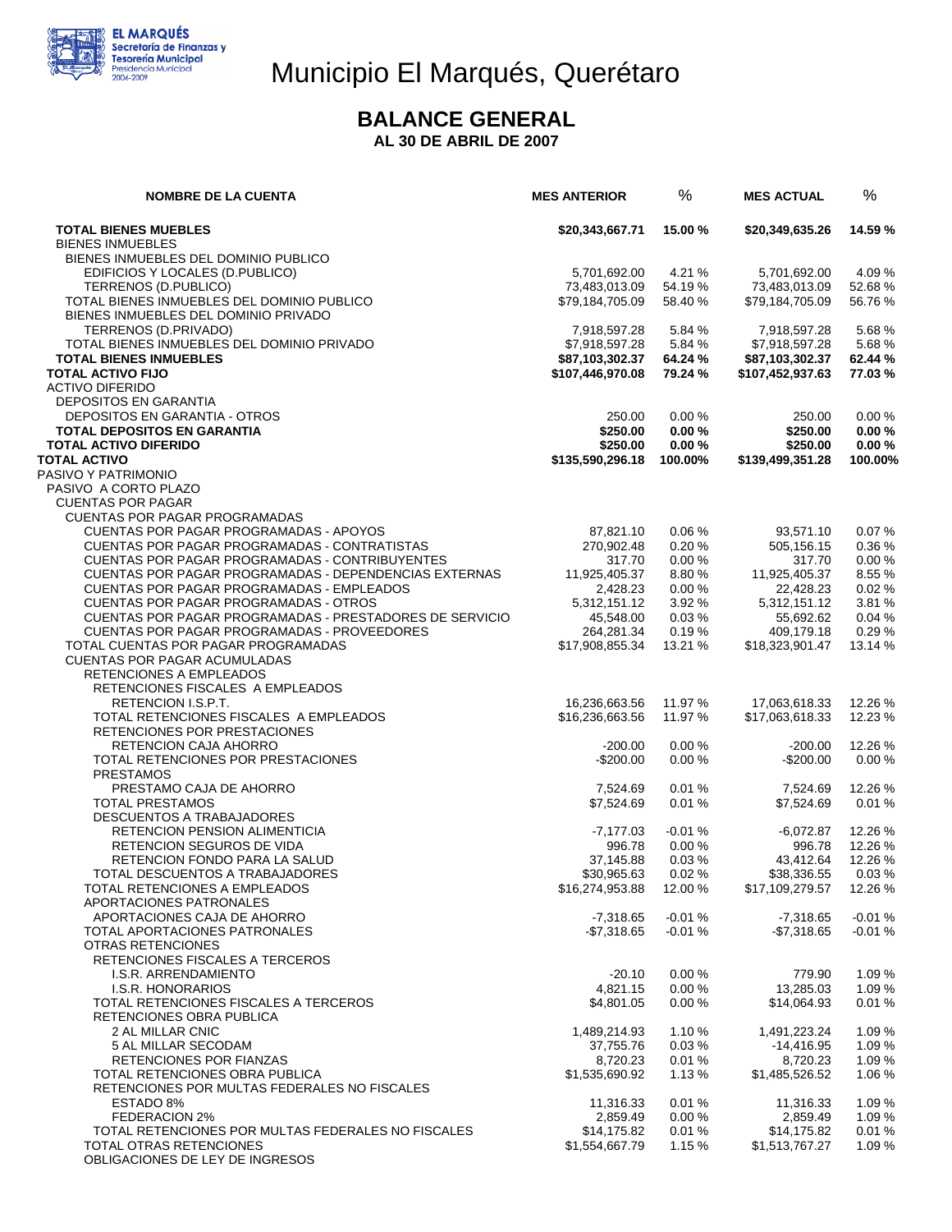

# Municipio El Marqués, Querétaro

### **BALANCE GENERAL**

 **AL 30 DE ABRIL DE 2007** 

| <b>NOMBRE DE LA CUENTA</b>                              | <b>MES ANTERIOR</b> | %        | <b>MES ACTUAL</b> | %        |
|---------------------------------------------------------|---------------------|----------|-------------------|----------|
| <b>TOTAL BIENES MUEBLES</b>                             | \$20,343,667.71     | 15.00 %  | \$20,349,635.26   | 14.59 %  |
| <b>BIENES INMUEBLES</b>                                 |                     |          |                   |          |
| BIENES INMUEBLES DEL DOMINIO PUBLICO                    |                     |          |                   |          |
| EDIFICIOS Y LOCALES (D.PUBLICO)                         | 5,701,692.00        | 4.21 %   | 5,701,692.00      | 4.09%    |
| TERRENOS (D.PUBLICO)                                    | 73.483.013.09       | 54.19 %  | 73,483,013.09     | 52.68%   |
| TOTAL BIENES INMUEBLES DEL DOMINIO PUBLICO              | \$79,184,705.09     | 58.40 %  | \$79,184,705.09   | 56.76 %  |
| BIENES INMUEBLES DEL DOMINIO PRIVADO                    |                     |          |                   |          |
| TERRENOS (D.PRIVADO)                                    | 7,918,597.28        | 5.84 %   | 7,918,597.28      | 5.68%    |
| TOTAL BIENES INMUEBLES DEL DOMINIO PRIVADO              | \$7,918,597.28      | 5.84 %   | \$7,918,597.28    | 5.68%    |
| <b>TOTAL BIENES INMUEBLES</b>                           | \$87,103,302.37     | 64.24 %  | \$87,103,302.37   | 62.44 %  |
| <b>TOTAL ACTIVO FIJO</b>                                | \$107,446,970.08    | 79.24 %  | \$107,452,937.63  | 77.03%   |
| <b>ACTIVO DIFERIDO</b>                                  |                     |          |                   |          |
| DEPOSITOS EN GARANTIA                                   |                     |          |                   |          |
| DEPOSITOS EN GARANTIA - OTROS                           | 250.00              | 0.00%    | 250.00            | 0.00%    |
| <b>TOTAL DEPOSITOS EN GARANTIA</b>                      | \$250.00            | 0.00%    | \$250.00          | 0.00%    |
| <b>TOTAL ACTIVO DIFERIDO</b>                            | \$250.00            | 0.00%    | \$250.00          | 0.00%    |
| <b>TOTAL ACTIVO</b>                                     | \$135,590,296.18    | 100.00%  | \$139,499,351.28  | 100.00%  |
| PASIVO Y PATRIMONIO                                     |                     |          |                   |          |
| PASIVO A CORTO PLAZO                                    |                     |          |                   |          |
| <b>CUENTAS POR PAGAR</b>                                |                     |          |                   |          |
| <b>CUENTAS POR PAGAR PROGRAMADAS</b>                    |                     |          |                   |          |
| CUENTAS POR PAGAR PROGRAMADAS - APOYOS                  | 87,821.10           | 0.06%    | 93,571.10         | 0.07%    |
| CUENTAS POR PAGAR PROGRAMADAS - CONTRATISTAS            | 270,902.48          | 0.20%    | 505,156.15        | 0.36%    |
| CUENTAS POR PAGAR PROGRAMADAS - CONTRIBUYENTES          | 317.70              | 0.00%    | 317.70            | 0.00%    |
| CUENTAS POR PAGAR PROGRAMADAS - DEPENDENCIAS EXTERNAS   | 11,925,405.37       | 8.80%    | 11,925,405.37     | 8.55%    |
| CUENTAS POR PAGAR PROGRAMADAS - EMPLEADOS               | 2,428.23            | 0.00%    | 22,428.23         | 0.02%    |
| <b>CUENTAS POR PAGAR PROGRAMADAS - OTROS</b>            | 5,312,151.12        | 3.92%    | 5,312,151.12      | 3.81 %   |
| CUENTAS POR PAGAR PROGRAMADAS - PRESTADORES DE SERVICIO | 45,548.00           | 0.03%    | 55,692.62         | 0.04%    |
| CUENTAS POR PAGAR PROGRAMADAS - PROVEEDORES             | 264,281.34          | 0.19%    | 409,179.18        | 0.29%    |
| TOTAL CUENTAS POR PAGAR PROGRAMADAS                     | \$17,908,855.34     | 13.21 %  | \$18,323,901.47   | 13.14 %  |
| CUENTAS POR PAGAR ACUMULADAS                            |                     |          |                   |          |
| RETENCIONES A EMPLEADOS                                 |                     |          |                   |          |
| RETENCIONES FISCALES A EMPLEADOS                        |                     |          |                   |          |
| RETENCION I.S.P.T.                                      | 16,236,663.56       | 11.97 %  | 17,063,618.33     | 12.26 %  |
| TOTAL RETENCIONES FISCALES A EMPLEADOS                  | \$16,236,663.56     | 11.97 %  | \$17,063,618.33   | 12.23 %  |
| RETENCIONES POR PRESTACIONES                            |                     |          |                   |          |
| RETENCION CAJA AHORRO                                   | $-200.00$           | 0.00%    | $-200.00$         | 12.26 %  |
| TOTAL RETENCIONES POR PRESTACIONES                      | $-$200.00$          | 0.00%    | $-$200.00$        | 0.00%    |
| <b>PRESTAMOS</b>                                        |                     |          |                   |          |
| PRESTAMO CAJA DE AHORRO                                 | 7.524.69            | 0.01%    | 7,524.69          | 12.26 %  |
| <b>TOTAL PRESTAMOS</b>                                  | \$7,524.69          | 0.01%    | \$7,524.69        | 0.01%    |
| DESCUENTOS A TRABAJADORES                               |                     |          |                   |          |
| RETENCION PENSION ALIMENTICIA                           | $-7,177.03$         | $-0.01%$ | $-6,072.87$       | 12.26 %  |
| RETENCION SEGUROS DE VIDA                               | 996.78              | 0.00%    | 996.78            | 12.26 %  |
| RETENCION FONDO PARA LA SALUD                           | 37,145.88           | 0.03%    | 43,412.64         | 12.26 %  |
| TOTAL DESCUENTOS A TRABAJADORES                         | \$30,965.63         | 0.02%    | \$38,336.55       | 0.03%    |
| TOTAL RETENCIONES A EMPLEADOS                           | \$16,274,953.88     | 12.00 %  | \$17,109,279.57   | 12.26 %  |
| APORTACIONES PATRONALES                                 |                     |          |                   |          |
| APORTACIONES CAJA DE AHORRO                             | $-7.318.65$         | $-0.01%$ | $-7,318.65$       | $-0.01%$ |
| TOTAL APORTACIONES PATRONALES                           | $-$7,318.65$        | $-0.01%$ | $-$7,318.65$      | $-0.01%$ |
| <b>OTRAS RETENCIONES</b>                                |                     |          |                   |          |
| RETENCIONES FISCALES A TERCEROS                         |                     |          |                   |          |
| I.S.R. ARRENDAMIENTO                                    | $-20.10$            | 0.00%    | 779.90            | 1.09%    |
| I.S.R. HONORARIOS                                       | 4,821.15            | 0.00%    | 13,285.03         | 1.09 %   |
| TOTAL RETENCIONES FISCALES A TERCEROS                   | \$4,801.05          | 0.00%    | \$14,064.93       | 0.01%    |
| RETENCIONES OBRA PUBLICA                                |                     |          |                   |          |
| 2 AL MILLAR CNIC                                        | 1,489,214.93        | 1.10%    | 1,491,223.24      | 1.09%    |
| 5 AL MILLAR SECODAM                                     | 37,755.76           | 0.03%    | $-14,416.95$      | 1.09 %   |
| RETENCIONES POR FIANZAS                                 | 8.720.23            | 0.01%    | 8,720.23          | 1.09 %   |
| TOTAL RETENCIONES OBRA PUBLICA                          | \$1,535,690.92      | 1.13%    | \$1,485,526.52    | 1.06 %   |
| RETENCIONES POR MULTAS FEDERALES NO FISCALES            |                     |          |                   |          |
| ESTADO 8%                                               | 11,316.33           | 0.01%    | 11,316.33         | 1.09 %   |
| <b>FEDERACION 2%</b>                                    | 2,859.49            | 0.00%    | 2,859.49          | 1.09%    |
| TOTAL RETENCIONES POR MULTAS FEDERALES NO FISCALES      | \$14,175.82         | 0.01%    | \$14,175.82       | 0.01%    |
| TOTAL OTRAS RETENCIONES                                 | \$1,554,667.79      | 1.15%    | \$1,513,767.27    | 1.09%    |
| OBLIGACIONES DE LEY DE INGRESOS                         |                     |          |                   |          |